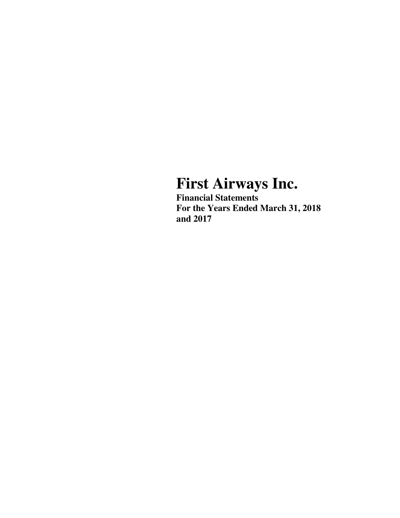# **First Airways Inc.**

**Financial Statements For the Years Ended March 31, 2018 and 2017**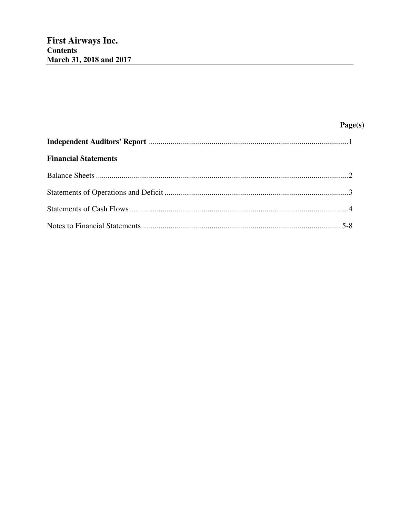| <b>Financial Statements</b> |  |
|-----------------------------|--|
|                             |  |
|                             |  |
|                             |  |
|                             |  |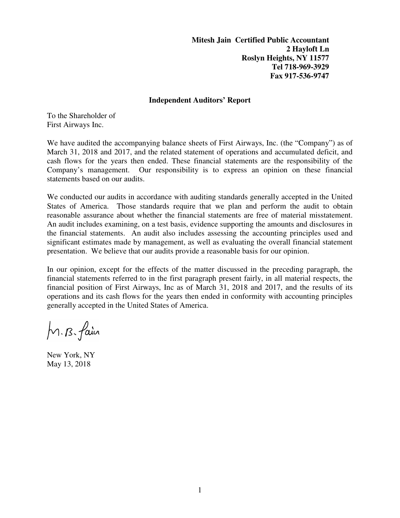**Mitesh Jain Certified Public Accountant 2 Hayloft Ln Roslyn Heights, NY 11577 Tel 718-969-3929 Fax 917-536-9747** 

#### **Independent Auditors' Report**

To the Shareholder of First Airways Inc.

We have audited the accompanying balance sheets of First Airways, Inc. (the "Company") as of March 31, 2018 and 2017, and the related statement of operations and accumulated deficit, and cash flows for the years then ended. These financial statements are the responsibility of the Company's management. Our responsibility is to express an opinion on these financial statements based on our audits.

We conducted our audits in accordance with auditing standards generally accepted in the United States of America. Those standards require that we plan and perform the audit to obtain reasonable assurance about whether the financial statements are free of material misstatement. An audit includes examining, on a test basis, evidence supporting the amounts and disclosures in the financial statements. An audit also includes assessing the accounting principles used and significant estimates made by management, as well as evaluating the overall financial statement presentation. We believe that our audits provide a reasonable basis for our opinion.

In our opinion, except for the effects of the matter discussed in the preceding paragraph, the financial statements referred to in the first paragraph present fairly, in all material respects, the financial position of First Airways, Inc as of March 31, 2018 and 2017, and the results of its operations and its cash flows for the years then ended in conformity with accounting principles generally accepted in the United States of America.

M. B. fain

New York, NY May 13, 2018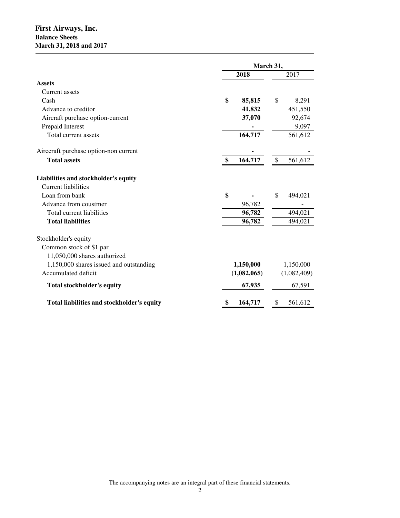## **First Airways, Inc. Balance Sheets March 31, 2018 and 2017**

|                                                                    | March 31,                |               |  |
|--------------------------------------------------------------------|--------------------------|---------------|--|
|                                                                    | 2018                     | 2017          |  |
| <b>Assets</b>                                                      |                          |               |  |
| Current assets                                                     |                          |               |  |
| Cash                                                               | \$<br>85,815             | \$<br>8,291   |  |
| Advance to creditor                                                | 41,832                   | 451,550       |  |
| Aircraft purchase option-current                                   | 37,070                   | 92,674        |  |
| Prepaid Interest                                                   |                          | 9,097         |  |
| Total current assets                                               | 164,717                  | 561,612       |  |
| Airccraft purchase option-non current                              |                          |               |  |
| <b>Total assets</b>                                                | $\mathbf{\$}$<br>164,717 | \$<br>561,612 |  |
| Liabilities and stockholder's equity<br><b>Current liabilities</b> |                          |               |  |
| Loan from bank                                                     | \$                       | \$<br>494,021 |  |
| Advance from coustmer                                              | 96,782                   |               |  |
| Total current liabilities                                          | 96,782                   | 494,021       |  |
| <b>Total liabilities</b>                                           | 96,782                   | 494,021       |  |
| Stockholder's equity                                               |                          |               |  |
| Common stock of \$1 par                                            |                          |               |  |
| 11,050,000 shares authorized                                       |                          |               |  |
| 1,150,000 shares issued and outstanding                            | 1,150,000                | 1,150,000     |  |
| Accumulated deficit                                                | (1,082,065)              | (1,082,409)   |  |
| <b>Total stockholder's equity</b>                                  | 67,935                   | 67,591        |  |
| Total liabilities and stockholder's equity                         | 164,717                  | 561,612<br>\$ |  |

The accompanying notes are an integral part of these financial statements.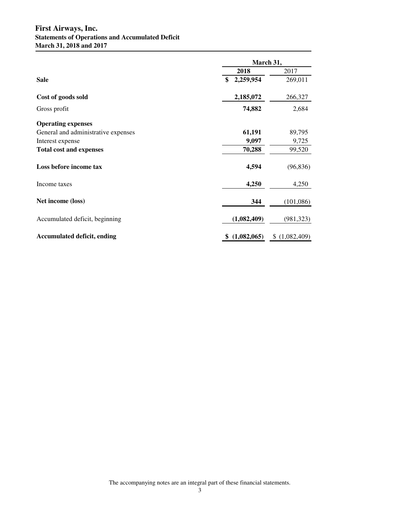## **First Airways, Inc. Statements of Operations and Accumulated Deficit March 31, 2018 and 2017**

|                                     | March 31,        |                   |  |
|-------------------------------------|------------------|-------------------|--|
|                                     | 2018             | 2017              |  |
| <b>Sale</b>                         | \$<br>2,259,954  | 269,011           |  |
| Cost of goods sold                  | 2,185,072        | 266,327           |  |
| Gross profit                        | 74,882           | 2,684             |  |
| <b>Operating expenses</b>           |                  |                   |  |
| General and administrative expenses | 61,191           | 89,795            |  |
| Interest expense                    | 9,097            | 9,725             |  |
| <b>Total cost and expenses</b>      | 70,288           | 99,520            |  |
| Loss before income tax              | 4,594            | (96, 836)         |  |
| Income taxes                        | 4,250            | 4,250             |  |
| Net income (loss)                   | 344              | (101,086)         |  |
| Accumulated deficit, beginning      | (1,082,409)      | (981, 323)        |  |
| <b>Accumulated deficit, ending</b>  | (1,082,065)<br>5 | (1,082,409)<br>\$ |  |

The accompanying notes are an integral part of these financial statements.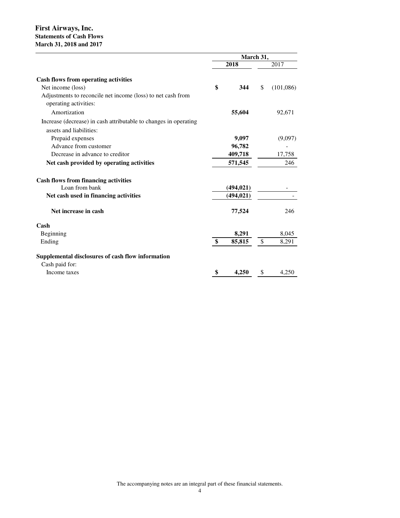#### **First Airways, Inc. Statements of Cash Flows March 31, 2018 and 2017**

|                                                                                      | March 31, |            |               |           |
|--------------------------------------------------------------------------------------|-----------|------------|---------------|-----------|
|                                                                                      |           | 2018       |               | 2017      |
| Cash flows from operating activities                                                 |           |            |               |           |
| Net income (loss)                                                                    | \$        | 344        | \$            | (101,086) |
| Adjustments to reconcile net income (loss) to net cash from<br>operating activities: |           |            |               |           |
| Amortization                                                                         |           | 55,604     |               | 92,671    |
| Increase (decrease) in cash attributable to changes in operating                     |           |            |               |           |
| assets and liabilities:                                                              |           |            |               |           |
| Prepaid expenses                                                                     |           | 9,097      |               | (9,097)   |
| Advance from customer                                                                |           | 96,782     |               |           |
| Decrease in advance to creditor                                                      |           | 409,718    |               | 17,758    |
| Net cash provided by operating activities                                            |           | 571,545    |               | 246       |
| <b>Cash flows from financing activities</b>                                          |           |            |               |           |
| Loan from bank                                                                       |           | (494, 021) |               |           |
| Net cash used in financing activities                                                |           | (494, 021) |               |           |
| Net increase in cash                                                                 |           | 77,524     |               | 246       |
| Cash                                                                                 |           |            |               |           |
| Beginning                                                                            |           | 8,291      |               | 8,045     |
| Ending                                                                               | \$        | 85,815     | $\mathcal{S}$ | 8,291     |
| Supplemental disclosures of cash flow information                                    |           |            |               |           |
| Cash paid for:                                                                       |           |            |               |           |
| Income taxes                                                                         | \$        | 4,250      | \$            | 4,250     |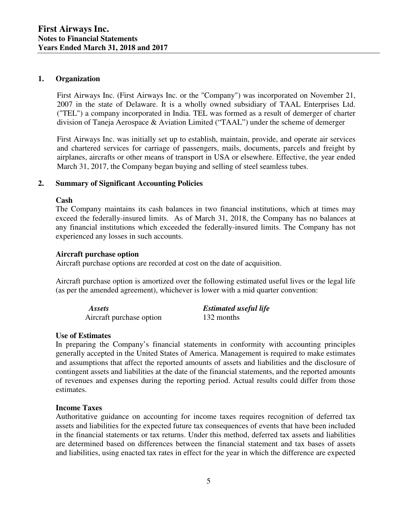### **1. Organization**

First Airways Inc. (First Airways Inc. or the "Company") was incorporated on November 21, 2007 in the state of Delaware. It is a wholly owned subsidiary of TAAL Enterprises Ltd. ("TEL") a company incorporated in India. TEL was formed as a result of demerger of charter division of Taneja Aerospace & Aviation Limited ("TAAL") under the scheme of demerger

First Airways Inc. was initially set up to establish, maintain, provide, and operate air services and chartered services for carriage of passengers, mails, documents, parcels and freight by airplanes, aircrafts or other means of transport in USA or elsewhere. Effective, the year ended March 31, 2017, the Company began buying and selling of steel seamless tubes.

## **2. Summary of Significant Accounting Policies**

#### **Cash**

The Company maintains its cash balances in two financial institutions, which at times may exceed the federally-insured limits. As of March 31, 2018, the Company has no balances at any financial institutions which exceeded the federally-insured limits. The Company has not experienced any losses in such accounts.

#### **Aircraft purchase option**

Aircraft purchase options are recorded at cost on the date of acquisition.

Aircraft purchase option is amortized over the following estimated useful lives or the legal life (as per the amended agreement), whichever is lower with a mid quarter convention:

| <i><b>Assets</b></i>     | <b>Estimated useful life</b> |
|--------------------------|------------------------------|
| Aircraft purchase option | 132 months                   |

#### **Use of Estimates**

In preparing the Company's financial statements in conformity with accounting principles generally accepted in the United States of America. Management is required to make estimates and assumptions that affect the reported amounts of assets and liabilities and the disclosure of contingent assets and liabilities at the date of the financial statements, and the reported amounts of revenues and expenses during the reporting period. Actual results could differ from those estimates.

## **Income Taxes**

Authoritative guidance on accounting for income taxes requires recognition of deferred tax assets and liabilities for the expected future tax consequences of events that have been included in the financial statements or tax returns. Under this method, deferred tax assets and liabilities are determined based on differences between the financial statement and tax bases of assets and liabilities, using enacted tax rates in effect for the year in which the difference are expected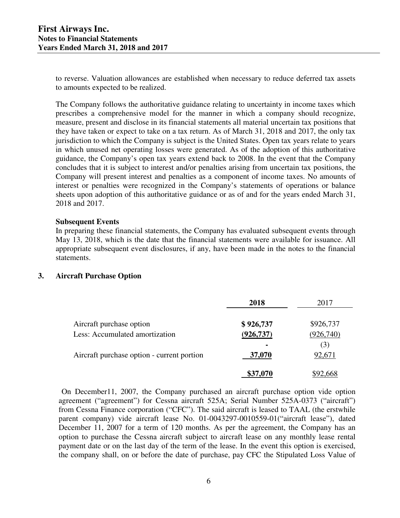to reverse. Valuation allowances are established when necessary to reduce deferred tax assets to amounts expected to be realized.

The Company follows the authoritative guidance relating to uncertainty in income taxes which prescribes a comprehensive model for the manner in which a company should recognize, measure, present and disclose in its financial statements all material uncertain tax positions that they have taken or expect to take on a tax return. As of March 31, 2018 and 2017, the only tax jurisdiction to which the Company is subject is the United States. Open tax years relate to years in which unused net operating losses were generated. As of the adoption of this authoritative guidance, the Company's open tax years extend back to 2008. In the event that the Company concludes that it is subject to interest and/or penalties arising from uncertain tax positions, the Company will present interest and penalties as a component of income taxes. No amounts of interest or penalties were recognized in the Company's statements of operations or balance sheets upon adoption of this authoritative guidance or as of and for the years ended March 31, 2018 and 2017.

#### **Subsequent Events**

In preparing these financial statements, the Company has evaluated subsequent events through May 13, 2018, which is the date that the financial statements were available for issuance. All appropriate subsequent event disclosures, if any, have been made in the notes to the financial statements.

## **3. Aircraft Purchase Option**

|                                            | 2018       | 2017       |
|--------------------------------------------|------------|------------|
| Aircraft purchase option                   | \$926,737  | \$926,737  |
| Less: Accumulated amortization             | (926, 737) | (926, 740) |
|                                            |            | (3)        |
| Aircraft purchase option - current portion | 37,070     | 92,671     |
|                                            | \$37,070   |            |

On December11, 2007, the Company purchased an aircraft purchase option vide option agreement ("agreement") for Cessna aircraft 525A; Serial Number 525A-0373 ("aircraft") from Cessna Finance corporation ("CFC"). The said aircraft is leased to TAAL (the erstwhile parent company) vide aircraft lease No. 01-0043297-0010559-01("aircraft lease"), dated December 11, 2007 for a term of 120 months. As per the agreement, the Company has an option to purchase the Cessna aircraft subject to aircraft lease on any monthly lease rental payment date or on the last day of the term of the lease. In the event this option is exercised, the company shall, on or before the date of purchase, pay CFC the Stipulated Loss Value of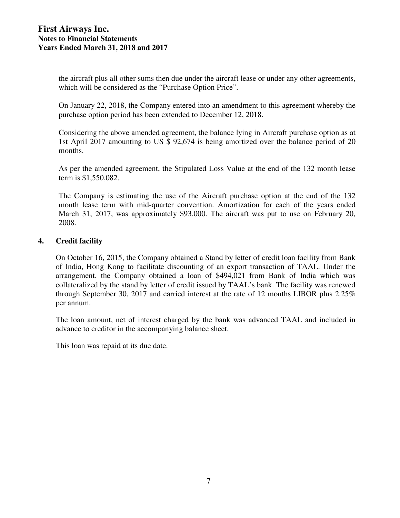the aircraft plus all other sums then due under the aircraft lease or under any other agreements, which will be considered as the "Purchase Option Price".

On January 22, 2018, the Company entered into an amendment to this agreement whereby the purchase option period has been extended to December 12, 2018.

Considering the above amended agreement, the balance lying in Aircraft purchase option as at 1st April 2017 amounting to US \$ 92,674 is being amortized over the balance period of 20 months.

As per the amended agreement, the Stipulated Loss Value at the end of the 132 month lease term is \$1,550,082.

The Company is estimating the use of the Aircraft purchase option at the end of the 132 month lease term with mid-quarter convention. Amortization for each of the years ended March 31, 2017, was approximately \$93,000. The aircraft was put to use on February 20, 2008.

## **4. Credit facility**

On October 16, 2015, the Company obtained a Stand by letter of credit loan facility from Bank of India, Hong Kong to facilitate discounting of an export transaction of TAAL. Under the arrangement, the Company obtained a loan of \$494,021 from Bank of India which was collateralized by the stand by letter of credit issued by TAAL's bank. The facility was renewed through September 30, 2017 and carried interest at the rate of 12 months LIBOR plus 2.25% per annum.

The loan amount, net of interest charged by the bank was advanced TAAL and included in advance to creditor in the accompanying balance sheet.

This loan was repaid at its due date.